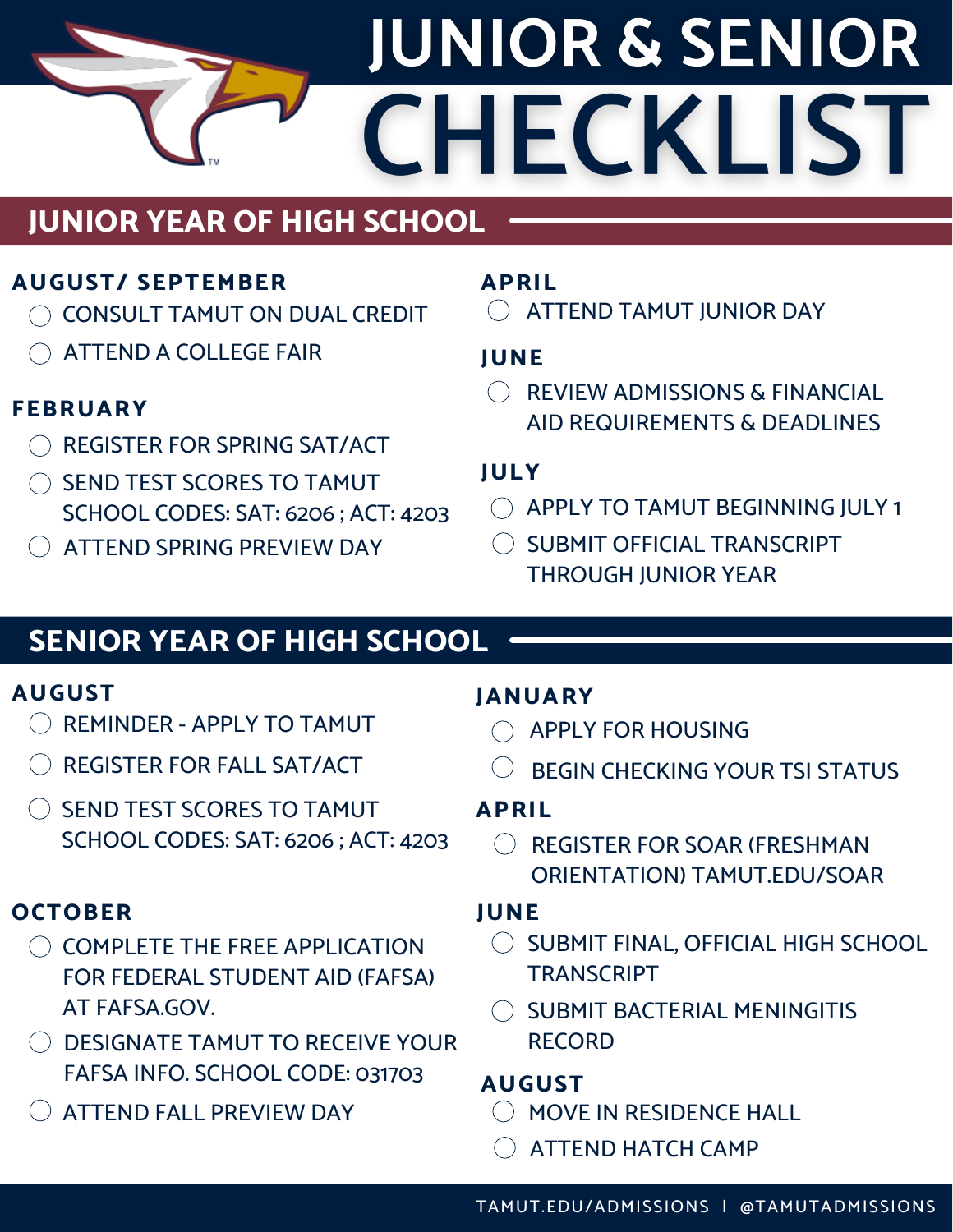# **JUNIOR & SENIOR** CHECKLIST

### **JUNIOR YEAR OF HIGH SCHOOL**

#### **AUGUST/ SEPTEMBER**

- $\bigcap$  CONSULT TAMUT ON DUAL CREDIT
- ATTEND A COLLEGE FAIR

#### **FEBRUARY**

- $\bigcap$  REGISTER FOR SPRING SAT/ACT
- $\bigcirc$  SEND TEST SCORES TO TAMUT SCHOOL CODES: SAT: 6206 ; ACT: 4203
- ( ) ATTEND SPRING PREVIEW DAY

#### **APRIL**

ATTEND TAMUT JUNIOR DAY

#### **JUNE**

REVIEW ADMISSIONS & FINANCIAL AID REQUIREMENTS & DEADLINES

#### **JULY**

- $\bigcirc$  APPLY TO TAMUT BEGINNING JULY 1
- $\bigcirc$  SUBMIT OFFICIAL TRANSCRIPT THROUGH JUNIOR YEAR

### **SENIOR YEAR OF HIGH SCHOOL**

#### **AUGUST**

- $\bigcirc$  REMINDER APPLY TO TAMUT
- REGISTER FOR FALL SAT/ACT
- $\bigcirc$  SEND TEST SCORES TO TAMUT SCHOOL CODES: SAT: 6206 ; ACT: 4203

#### **OCTOBER**

- $\bigcirc$  complete the free application FOR FEDERAL STUDENT AID (FAFSA) AT FAFSA.GOV.
- $\bigcirc$  designate tamut to receive your FAFSA INFO. SCHOOL CODE: 031703
- $\left( \ \right)$  ATTEND FALL PREVIEW DAY

#### **JANUARY**

- $\bigcap$  APPLY FOR HOUSING
- BEGIN CHECKING YOUR TSI STATUS

#### **APRIL**

REGISTER FOR SOAR (FRESHMAN  $\left(\begin{array}{c} \end{array}\right)$ ORIENTATION) TAMUT.EDU/SOAR

#### **JUNE**

- O SUBMIT FINAL, OFFICIAL HIGH SCHOOL **TRANSCRIPT**
- $\bigcirc$  SUBMIT BACTERIAL MENINGITIS RECORD

#### **AUGUST**

- MOVE IN RESIDENCE HALL
- $\bigcirc$  ATTEND HATCH CAMP